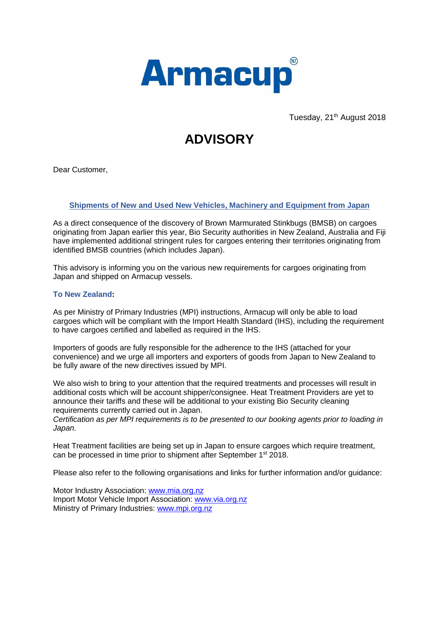

Tuesday, 21<sup>th</sup> August 2018

# **ADVISORY**

Dear Customer,

### **Shipments of New and Used New Vehicles, Machinery and Equipment from Japan**

As a direct consequence of the discovery of Brown Marmurated Stinkbugs (BMSB) on cargoes originating from Japan earlier this year, Bio Security authorities in New Zealand, Australia and Fiji have implemented additional stringent rules for cargoes entering their territories originating from identified BMSB countries (which includes Japan).

This advisory is informing you on the various new requirements for cargoes originating from Japan and shipped on Armacup vessels.

### **To New Zealand:**

As per Ministry of Primary Industries (MPI) instructions, Armacup will only be able to load cargoes which will be compliant with the Import Health Standard (IHS), including the requirement to have cargoes certified and labelled as required in the IHS.

Importers of goods are fully responsible for the adherence to the IHS (attached for your convenience) and we urge all importers and exporters of goods from Japan to New Zealand to be fully aware of the new directives issued by MPI.

We also wish to bring to your attention that the required treatments and processes will result in additional costs which will be account shipper/consignee. Heat Treatment Providers are yet to announce their tariffs and these will be additional to your existing Bio Security cleaning requirements currently carried out in Japan.

*Certification as per MPI requirements is to be presented to our booking agents prior to loading in Japan.*

Heat Treatment facilities are being set up in Japan to ensure cargoes which require treatment, can be processed in time prior to shipment after September 1<sup>st</sup> 2018.

Please also refer to the following organisations and links for further information and/or guidance:

Motor Industry Association: [www.mia.org.nz](http://www.mia.org.nz/) Import Motor Vehicle Import Association: [www.via.org.nz](http://www.via.org.nz/) Ministry of Primary Industries: [www.mpi.org.nz](http://www.mpi.org.nz/)